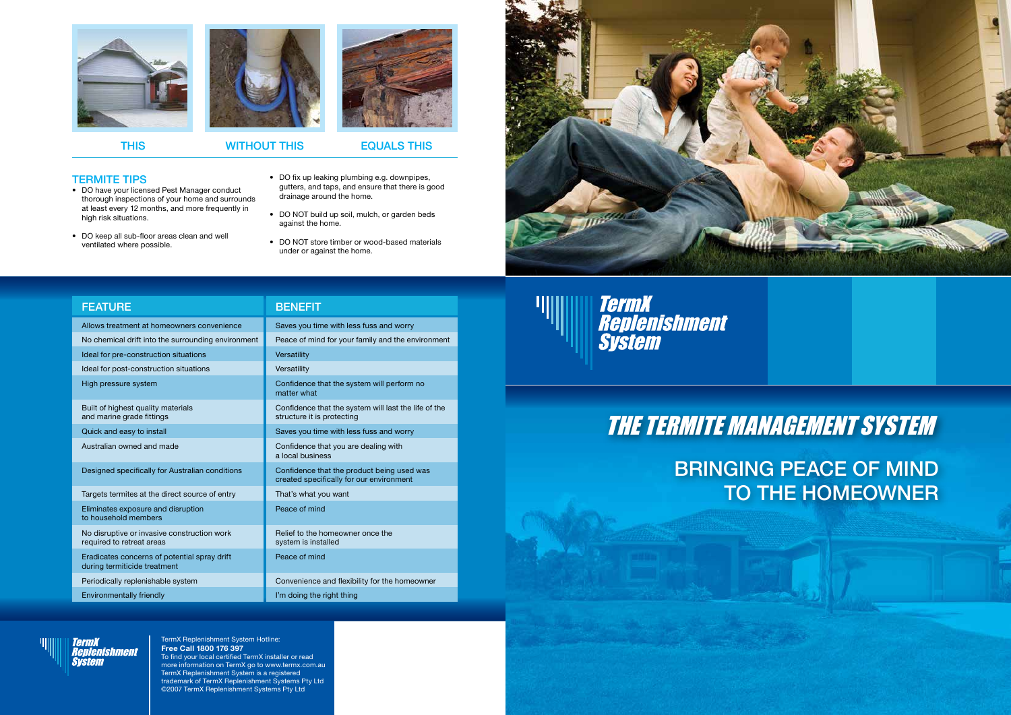TermX Replenishment System Hotline: **Free Call 1800 176 397** To find your local certified TermX installer or read more information on TermX go to www.termx.com.au TermX Replenishment System is a registered trademark of TermX Replenishment Systems Pty Ltd ©2007 TermX Replenishment Systems Pty Ltd



- TERMITE TIPS
- DO have your licensed Pest Manager conduct thorough inspections of your home and surrounds at least every 12 months, and more frequently in high risk situations.
- DO keep all sub-floor areas clean and well ventilated where possible.
- DO fix up leaking plumbing e.g. downpipes, gutters, and taps, and ensure that there is good drainage around the home.
- DO NOT build up soil, mulch, or garden beds against the home.
- DO NOT store timber or wood-based materials under or against the home.





### THIS WITHOUT THIS EQUALS THIS

BRINGING PEACE OF MIND TO THE HOMEOWNER

## THE TERMITE MANAGEMENT SYSTEM

*TermX<br>Replenishment<br>System* 

| <b>FEATURE</b>                                                               | <b>BENEFIT</b>                                                                         |
|------------------------------------------------------------------------------|----------------------------------------------------------------------------------------|
| Allows treatment at homeowners convenience                                   | Saves you time with less fuss and worry                                                |
| No chemical drift into the surrounding environment                           | Peace of mind for your family and the environment                                      |
| Ideal for pre-construction situations                                        | Versatility                                                                            |
| Ideal for post-construction situations                                       | Versatility                                                                            |
| High pressure system                                                         | Confidence that the system will perform no<br>matter what                              |
| Built of highest quality materials<br>and marine grade fittings              | Confidence that the system will last the life of the<br>structure it is protecting     |
| Quick and easy to install                                                    | Saves you time with less fuss and worry                                                |
| Australian owned and made                                                    | Confidence that you are dealing with<br>a local business                               |
| Designed specifically for Australian conditions                              | Confidence that the product being used was<br>created specifically for our environment |
| Targets termites at the direct source of entry                               | That's what you want                                                                   |
| Eliminates exposure and disruption<br>to household members                   | Peace of mind                                                                          |
| No disruptive or invasive construction work<br>required to retreat areas     | Relief to the homeowner once the<br>system is installed                                |
| Eradicates concerns of potential spray drift<br>during termiticide treatment | Peace of mind                                                                          |
| Periodically replenishable system                                            | Convenience and flexibility for the homeowner                                          |
| Environmentally friendly                                                     | I'm doing the right thing                                                              |